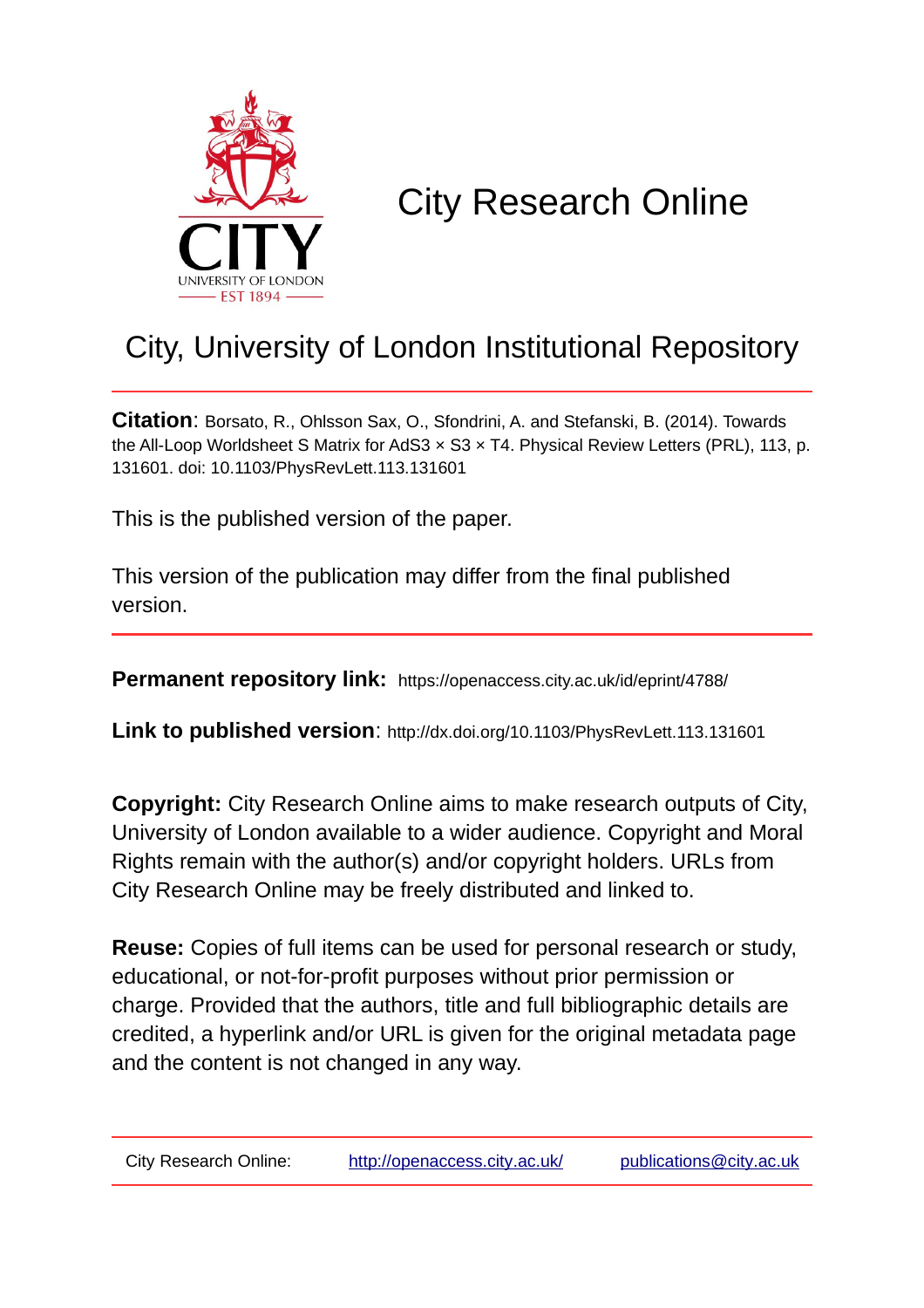

## City Research Online

## City, University of London Institutional Repository

**Citation**: Borsato, R., Ohlsson Sax, O., Sfondrini, A. and Stefanski, B. (2014). Towards the All-Loop Worldsheet S Matrix for AdS3 × S3 × T4. Physical Review Letters (PRL), 113, p. 131601. doi: 10.1103/PhysRevLett.113.131601

This is the published version of the paper.

This version of the publication may differ from the final published version.

**Permanent repository link:** https://openaccess.city.ac.uk/id/eprint/4788/

**Link to published version**: http://dx.doi.org/10.1103/PhysRevLett.113.131601

**Copyright:** City Research Online aims to make research outputs of City, University of London available to a wider audience. Copyright and Moral Rights remain with the author(s) and/or copyright holders. URLs from City Research Online may be freely distributed and linked to.

**Reuse:** Copies of full items can be used for personal research or study, educational, or not-for-profit purposes without prior permission or charge. Provided that the authors, title and full bibliographic details are credited, a hyperlink and/or URL is given for the original metadata page and the content is not changed in any way.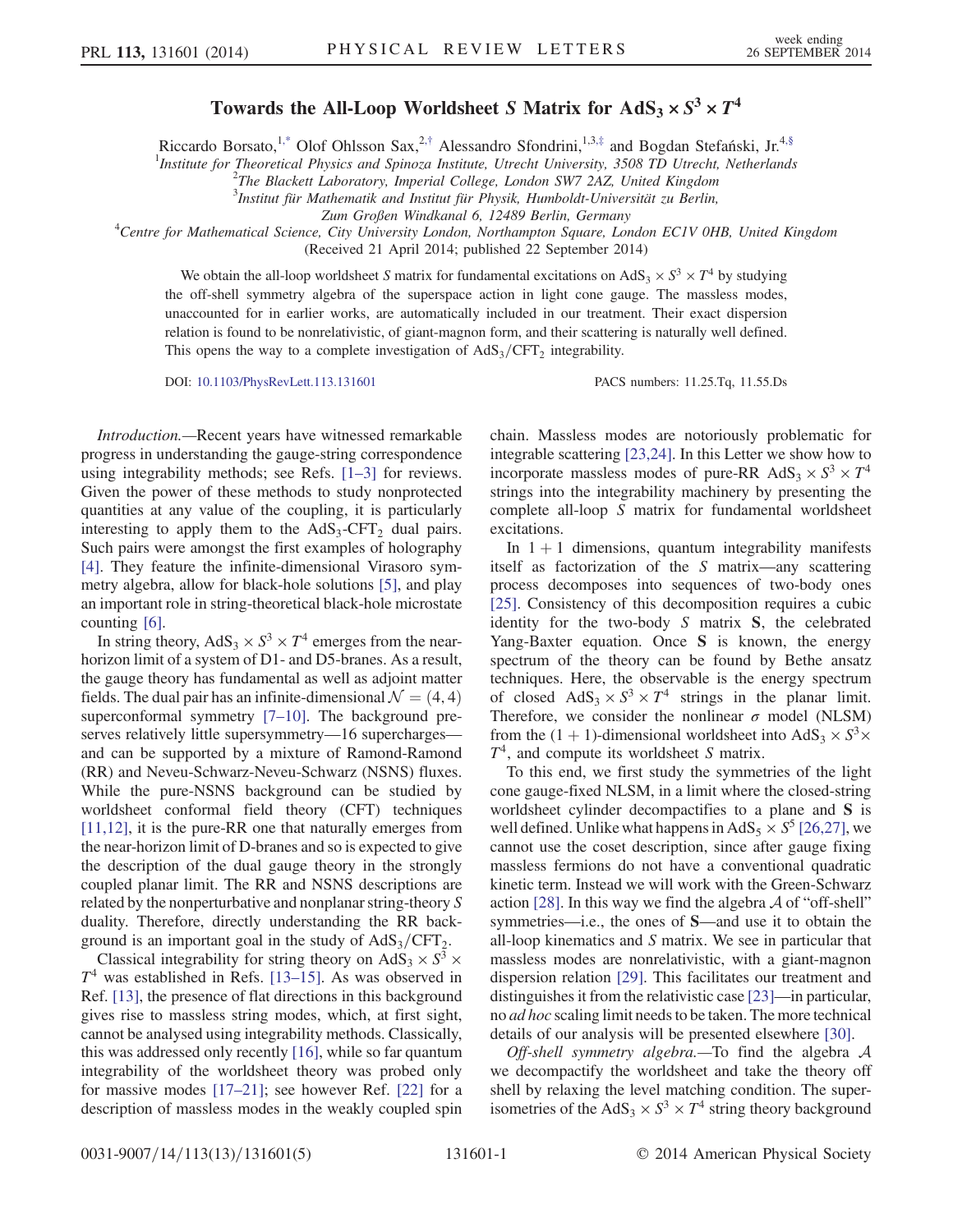## Towards the All-Loop Worldsheet S Matrix for  $AdS_3 \times S^3 \times T^4$

<span id="page-1-0"></span>Riccardo Borsato,<sup>1[,\\*](#page-5-0)</sup> Olof Ohlsson Sax,<sup>2,[†](#page-5-1)</sup> Alessandro Sfondrini,<sup>1,3,[‡](#page-5-2)</sup> and Bogdan Stefański, Jr.<sup>4[,§](#page-5-3)</sup>

<sup>1</sup>Institute for Theoretical Physics and Spinoza Institute, Utrecht University, 3508 TD Utrecht, Netherlands<br><sup>2</sup>The Plaskett Laboratory, Imperial College, Landar SW7 247, United Kinodam

 $2$ The Blackett Laboratory, Imperial College, London SW7 2AZ, United Kingdom

 $3$ Institut für Mathematik and Institut für Physik, Humboldt-Universität zu Berlin,

Zum Großen Windkanal 6, 12489 Berlin, Germany<br>Centre for Mathematical Science, City University London, Northampton Square, London EC1V 0HB, United Kingdom<sup>4</sup>

(Received 21 April 2014; published 22 September 2014)

We obtain the all-loop worldsheet S matrix for fundamental excitations on AdS<sub>3</sub>  $\times$  S<sup>3</sup>  $\times$  T<sup>4</sup> by studying the off-shell symmetry algebra of the superspace action in light cone gauge. The massless modes, unaccounted for in earlier works, are automatically included in our treatment. Their exact dispersion relation is found to be nonrelativistic, of giant-magnon form, and their scattering is naturally well defined. This opens the way to a complete investigation of  $AdS_3/CFT_2$  integrability.

DOI: [10.1103/PhysRevLett.113.131601](http://dx.doi.org/10.1103/PhysRevLett.113.131601) PACS numbers: 11.25.Tq, 11.55.Ds

Introduction.—Recent years have witnessed remarkable progress in understanding the gauge-string correspondence using integrability methods; see Refs. [1–[3\]](#page-5-4) for reviews. Given the power of these methods to study nonprotected quantities at any value of the coupling, it is particularly interesting to apply them to the  $AdS_3$ -CFT<sub>2</sub> dual pairs. Such pairs were amongst the first examples of holography [\[4\]](#page-5-5). They feature the infinite-dimensional Virasoro symmetry algebra, allow for black-hole solutions [\[5\]](#page-5-6), and play an important role in string-theoretical black-hole microstate counting [\[6\]](#page-5-7).

In string theory,  $AdS_3 \times S^3 \times T^4$  emerges from the nearhorizon limit of a system of D1- and D5-branes. As a result, the gauge theory has fundamental as well as adjoint matter fields. The dual pair has an infinite-dimensional  $\mathcal{N} = (4, 4)$ superconformal symmetry [7–[10\].](#page-5-8) The background preserves relatively little supersymmetry—16 supercharges and can be supported by a mixture of Ramond-Ramond (RR) and Neveu-Schwarz-Neveu-Schwarz (NSNS) fluxes. While the pure-NSNS background can be studied by worldsheet conformal field theory (CFT) techniques [\[11,12\]](#page-5-9), it is the pure-RR one that naturally emerges from the near-horizon limit of D-branes and so is expected to give the description of the dual gauge theory in the strongly coupled planar limit. The RR and NSNS descriptions are related by the nonperturbative and nonplanar string-theory S duality. Therefore, directly understanding the RR background is an important goal in the study of  $AdS_3/CFT_2$ .

Classical integrability for string theory on AdS<sub>3</sub>  $\times$  S<sup>3</sup>  $\times$  $T<sup>4</sup>$  was established in Refs. [\[13](#page-5-10)–15]. As was observed in Ref. [\[13\]](#page-5-10), the presence of flat directions in this background gives rise to massless string modes, which, at first sight, cannot be analysed using integrability methods. Classically, this was addressed only recently [\[16\],](#page-5-11) while so far quantum integrability of the worldsheet theory was probed only for massive modes [17–[21\];](#page-5-12) see however Ref. [\[22\]](#page-5-13) for a description of massless modes in the weakly coupled spin chain. Massless modes are notoriously problematic for integrable scattering [\[23,24\].](#page-5-14) In this Letter we show how to incorporate massless modes of pure-RR AdS<sub>3</sub>  $\times$  S<sup>3</sup>  $\times T<sup>4</sup>$ strings into the integrability machinery by presenting the complete all-loop S matrix for fundamental worldsheet excitations.

In  $1 + 1$  dimensions, quantum integrability manifests itself as factorization of the S matrix—any scattering process decomposes into sequences of two-body ones [\[25\]](#page-5-15). Consistency of this decomposition requires a cubic identity for the two-body S matrix S, the celebrated Yang-Baxter equation. Once S is known, the energy spectrum of the theory can be found by Bethe ansatz techniques. Here, the observable is the energy spectrum of closed  $AdS_3 \times S^3 \times T^4$  strings in the planar limit. Therefore, we consider the nonlinear  $\sigma$  model (NLSM) from the (1 + 1)-dimensional worldsheet into AdS<sub>3</sub>  $\times$  S<sup>3</sup> $\times$  $T<sup>4</sup>$ , and compute its worldsheet S matrix.

To this end, we first study the symmetries of the light cone gauge-fixed NLSM, in a limit where the closed-string worldsheet cylinder decompactifies to a plane and S is well defined. Unlike what happens in AdS<sub>5</sub>  $\times$  S<sup>5</sup> [\[26,27\],](#page-5-16) we cannot use the coset description, since after gauge fixing massless fermions do not have a conventional quadratic kinetic term. Instead we will work with the Green-Schwarz action [\[28\].](#page-5-17) In this way we find the algebra  $\mathcal A$  of "off-shell" symmetries—i.e., the ones of S—and use it to obtain the all-loop kinematics and S matrix. We see in particular that massless modes are nonrelativistic, with a giant-magnon dispersion relation [\[29\].](#page-5-18) This facilitates our treatment and distinguishes it from the relativistic case [\[23\]](#page-5-14)—in particular, no ad hoc scaling limit needs to be taken. The more technical details of our analysis will be presented elsewhere [\[30\]](#page-5-19).

Off-shell symmetry algebra.—To find the algebra  $A$ we decompactify the worldsheet and take the theory off shell by relaxing the level matching condition. The superisometries of the AdS<sub>3</sub>  $\times$  S<sup>3</sup>  $\times$  T<sup>4</sup> string theory background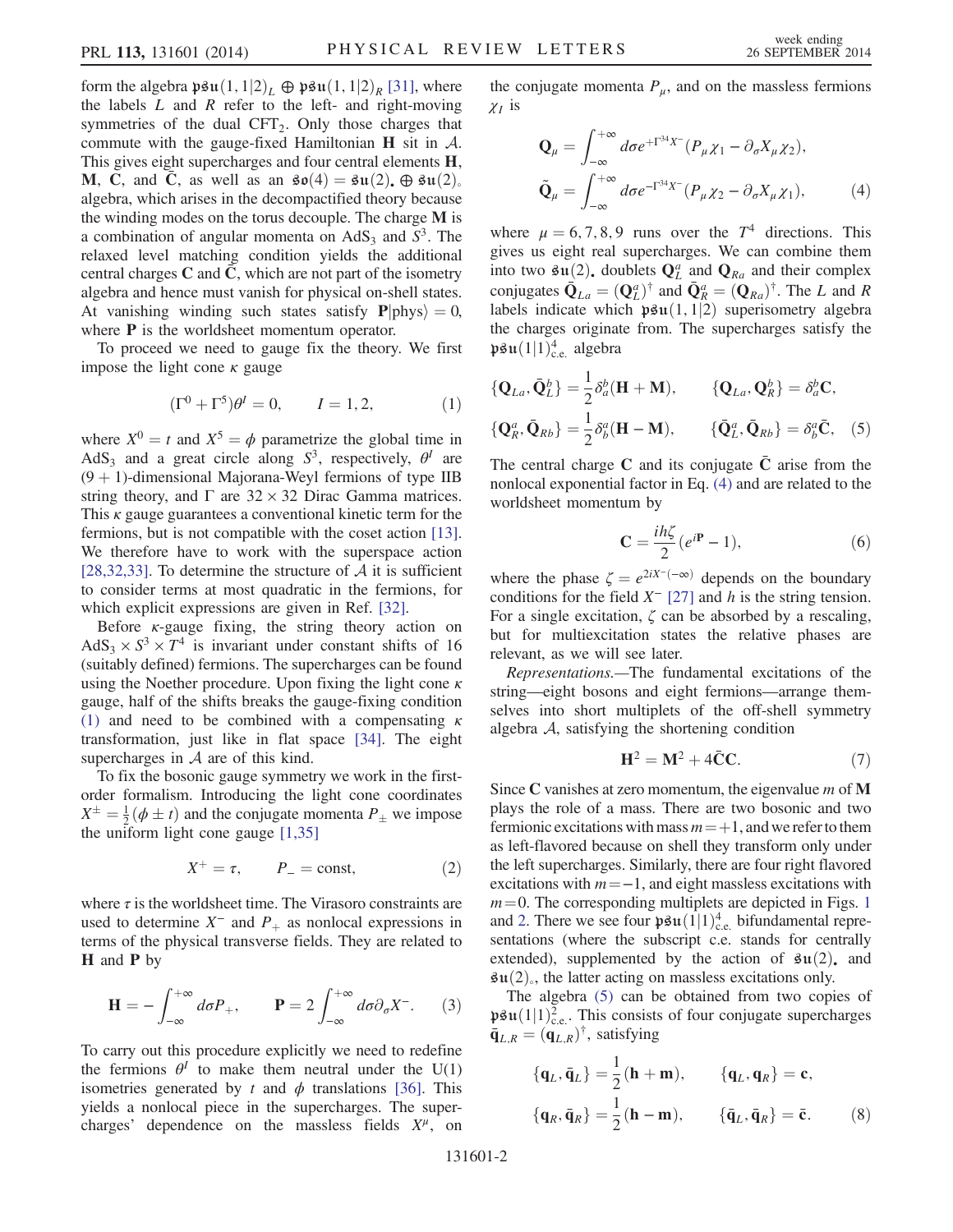form the algebra  $\mathfrak{psu}(1,1|2)_L \oplus \mathfrak{psu}(1,1|2)_R$  [\[31\]](#page-5-20), where the labels  $L$  and  $R$  refer to the left- and right-moving symmetries of the dual  $CFT<sub>2</sub>$ . Only those charges that commute with the gauge-fixed Hamiltonian  $H$  sit in  $A$ . This gives eight supercharges and four central elements H, M, C, and C, as well as an  $\mathfrak{so}(4) = \mathfrak{su}(2)$ ,  $\oplus \mathfrak{su}(2)$ . algebra, which arises in the decompactified theory because the winding modes on the torus decouple. The charge M is a combination of angular momenta on  $AdS_3$  and  $S^3$ . The relaxed level matching condition yields the additional central charges  $C$  and  $C$ , which are not part of the isometry algebra and hence must vanish for physical on-shell states. At vanishing winding such states satisfy  $P|{\text{phys}}\rangle = 0$ , where **P** is the worldsheet momentum operator.

<span id="page-2-0"></span>To proceed we need to gauge fix the theory. We first impose the light cone  $\kappa$  gauge

$$
(\Gamma^0 + \Gamma^5)\theta^I = 0, \qquad I = 1, 2,
$$
 (1)

where  $X^0 = t$  and  $X^5 = \phi$  parametrize the global time in AdS<sub>3</sub> and a great circle along  $S^3$ , respectively,  $\theta^I$  are  $(9 + 1)$ -dimensional Majorana-Weyl fermions of type IIB string theory, and  $\Gamma$  are 32 × 32 Dirac Gamma matrices. This  $\kappa$  gauge guarantees a conventional kinetic term for the fermions, but is not compatible with the coset action [\[13\]](#page-5-10). We therefore have to work with the superspace action [\[28,32,33\]](#page-5-17). To determine the structure of  $A$  it is sufficient to consider terms at most quadratic in the fermions, for which explicit expressions are given in Ref. [\[32\].](#page-5-21)

Before  $\kappa$ -gauge fixing, the string theory action on AdS<sub>3</sub>  $\times$  S<sup>3</sup>  $\times$  T<sup>4</sup> is invariant under constant shifts of 16 (suitably defined) fermions. The supercharges can be found using the Noether procedure. Upon fixing the light cone  $\kappa$ gauge, half of the shifts breaks the gauge-fixing condition [\(1\)](#page-2-0) and need to be combined with a compensating  $\kappa$ transformation, just like in flat space [\[34\]](#page-5-22). The eight supercharges in  $A$  are of this kind.

To fix the bosonic gauge symmetry we work in the firstorder formalism. Introducing the light cone coordinates  $X^{\pm} = \frac{1}{2}(\phi \pm t)$  and the conjugate momenta  $P_{\pm}$  we impose<br>the uniform light cone gauge [1,35] the uniform light cone gauge [\[1,35\]](#page-5-4)

$$
X^+ = \tau, \qquad P_- = \text{const}, \tag{2}
$$

where  $\tau$  is the worldsheet time. The Virasoro constraints are used to determine  $X^-$  and  $P_+$  as nonlocal expressions in terms of the physical transverse fields. They are related to H and P by

$$
\mathbf{H} = -\int_{-\infty}^{+\infty} d\sigma P_+, \qquad \mathbf{P} = 2\int_{-\infty}^{+\infty} d\sigma \partial_{\sigma} X^-.
$$
 (3)

To carry out this procedure explicitly we need to redefine the fermions  $\theta^I$  to make them neutral under the U(1) isometries generated by t and  $\phi$  translations [\[36\].](#page-5-23) This yields a nonlocal piece in the supercharges. The supercharges' dependence on the massless fields  $X^{\mu}$ , on <span id="page-2-1"></span>the conjugate momenta  $P_{\mu}$ , and on the massless fermions  $\chi_I$  is

$$
\mathbf{Q}_{\mu} = \int_{-\infty}^{+\infty} d\sigma e^{+\Gamma^{34}X^{-}} (P_{\mu}\chi_1 - \partial_{\sigma}X_{\mu}\chi_2),
$$
  
\n
$$
\tilde{\mathbf{Q}}_{\mu} = \int_{-\infty}^{+\infty} d\sigma e^{-\Gamma^{34}X^{-}} (P_{\mu}\chi_2 - \partial_{\sigma}X_{\mu}\chi_1),
$$
\n(4)

where  $\mu = 6, 7, 8, 9$  runs over the  $T<sup>4</sup>$  directions. This gives us eight real supercharges. We can combine them into two  $\mathfrak{su}(2)$ , doublets  $Q_L^a$  and  $Q_{Ra}$  and their complex<br>conjugates  $\bar{Q}_\mu = (Q_a)^\dagger$  and  $\bar{Q}_a^a = (Q_a)^\dagger$ . The L and R conjugates  $\overline{\mathbf{Q}}_{La} = (\mathbf{Q}_{L}^{a})^{\dagger}$  and  $\overline{\mathbf{Q}}_{R}^{a} = (\mathbf{Q}_{Ra})^{\dagger}$ . The L and R labels indicate which **h**811(1, 1) superisometry algebra labels indicate which  $\mathfrak{psu}(1,1|2)$  superisometry algebra the charges originate from. The supercharges satisfy the  $\mathfrak{psu}(1|1)^4_{c.e.}$  algebra

<span id="page-2-2"></span>
$$
\begin{aligned} \{\mathbf{Q}_{La}, \bar{\mathbf{Q}}_L^b\} &= \frac{1}{2} \delta_a^b (\mathbf{H} + \mathbf{M}), \qquad \{\mathbf{Q}_{La}, \mathbf{Q}_R^b\} = \delta_a^b \mathbf{C}, \\ \{\mathbf{Q}_R^a, \bar{\mathbf{Q}}_{Rb}\} &= \frac{1}{2} \delta_b^a (\mathbf{H} - \mathbf{M}), \qquad \{\bar{\mathbf{Q}}_L^a, \bar{\mathbf{Q}}_{Rb}\} = \delta_b^a \bar{\mathbf{C}}, \end{aligned} \tag{5}
$$

<span id="page-2-3"></span>The central charge C and its conjugate  $\overline{C}$  arise from the nonlocal exponential factor in Eq. [\(4\)](#page-2-1) and are related to the worldsheet momentum by

$$
\mathbf{C} = \frac{i h \zeta}{2} (e^{i\mathbf{P}} - 1),\tag{6}
$$

where the phase  $\zeta = e^{2iX^{-}(-\infty)}$  depends on the boundary conditions for the field  $X^-$  [\[27\]](#page-5-24) and h is the string tension. For a single excitation,  $\zeta$  can be absorbed by a rescaling, but for multiexcitation states the relative phases are relevant, as we will see later.

<span id="page-2-4"></span>Representations.—The fundamental excitations of the string—eight bosons and eight fermions—arrange themselves into short multiplets of the off-shell symmetry algebra A, satisfying the shortening condition

$$
\mathbf{H}^2 = \mathbf{M}^2 + 4\bar{\mathbf{C}}\mathbf{C}.\tag{7}
$$

Since C vanishes at zero momentum, the eigenvalue  $m$  of M plays the role of a mass. There are two bosonic and two fermionic excitations with mass  $m = +1$ , and we refer to them as left-flavored because on shell they transform only under the left supercharges. Similarly, there are four right flavored excitations with  $m = -1$ , and eight massless excitations with  $m=0$ . The corresponding multiplets are depicted in Figs. [1](#page-3-0) and [2](#page-3-1). There we see four  $\mathfrak{psu}(1|1)_{\text{c.e.}}^4$  bifundamental repre-<br>sentations (where the subscript c extends for centrally sentations (where the subscript c.e. stands for centrally extended), supplemented by the action of  $\mathfrak{su}(2)$ , and  $\mathfrak{su}(2)$ , the latter acting on massless excitations only.

The algebra [\(5\)](#page-2-2) can be obtained from two copies of  $\mathfrak{psu}(1|1)_{c.e.}^2$ . This consists of four conjugate supercharges<br> $\bar{p}_{L,0} = (\mathfrak{a}_{L,0})^{\dagger}$  satisfying  $\bar{\mathbf{q}}_{L,R} = (\mathbf{q}_{L,R})^{\dagger}$ , satisfying

$$
\begin{aligned} \{\mathbf{q}_L, \bar{\mathbf{q}}_L\} &= \frac{1}{2} (\mathbf{h} + \mathbf{m}), \qquad \{\mathbf{q}_L, \mathbf{q}_R\} = \mathbf{c}, \\ \{\mathbf{q}_R, \bar{\mathbf{q}}_R\} &= \frac{1}{2} (\mathbf{h} - \mathbf{m}), \qquad \{\bar{\mathbf{q}}_L, \bar{\mathbf{q}}_R\} = \bar{\mathbf{c}}. \end{aligned} \tag{8}
$$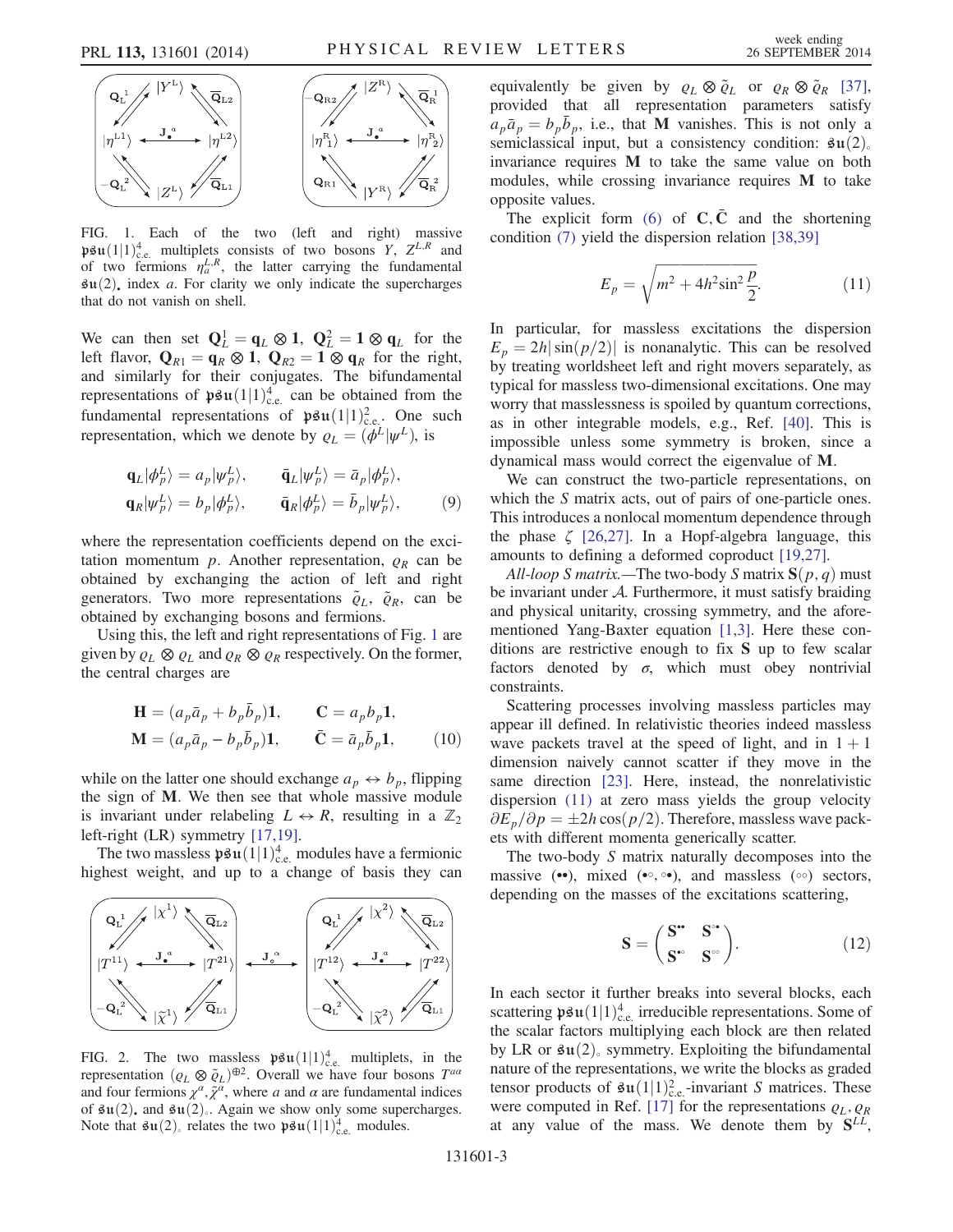<span id="page-3-0"></span>

FIG. 1. Each of the two (left and right) massive  $\mathfrak{psu}(1|1)_{\text{c.e.}}^4$  multiplets consists of two bosons Y, Z<sup>L,R</sup> and<br>of two fermions  $n^{L,R}$  the latter carrying the fundamental of two fermions  $\eta_a^{L,R}$ , the latter carrying the fundamental  $\mathfrak{su}(2)$ , index a. For clarity we only indicate the supercharges that do not vanish on shell.

We can then set  $Q_L^1 = q_L \otimes 1$ ,  $Q_L^2 = 1 \otimes q_L$  for the right left flavor,  $\mathbf{Q}_{R1} = \mathbf{q}_R \otimes \mathbf{1}$ ,  $\mathbf{Q}_{R2} = \mathbf{1} \otimes \mathbf{q}_R$  for the right, and similarly for their conjugates. The bifundamental representations of  $\mathfrak{psu}(1|1)_{\text{c.e.}}^4$  can be obtained from the fundamental representations of  $\mathfrak{psu}(1|1)^2$  One such fundamental representations of  $\mathfrak{psu}(1|1)_{\text{c.e.}}^2$ . One such representation which we denote by  $a = (ab|w^L)_{\text{c.e.}}$ representation, which we denote by  $\rho_L = (\phi^L | \psi^L)$ , is

$$
\mathbf{q}_L|\phi_P^L\rangle = a_p|\psi_P^L\rangle, \qquad \mathbf{\bar{q}}_L|\psi_P^L\rangle = \bar{a}_p|\phi_P^L\rangle, \n\mathbf{q}_R|\psi_P^L\rangle = b_p|\phi_P^L\rangle, \qquad \mathbf{\bar{q}}_R|\phi_P^L\rangle = \bar{b}_p|\psi_P^L\rangle, \qquad (9)
$$

where the representation coefficients depend on the excitation momentum  $p$ . Another representation,  $\rho_R$  can be obtained by exchanging the action of left and right generators. Two more representations  $\tilde{\varrho}_L$ ,  $\tilde{\varrho}_R$ , can be obtained by exchanging bosons and fermions.

Using this, the left and right representations of Fig. [1](#page-3-0) are given by  $\varrho_L \otimes \varrho_L$  and  $\varrho_R \otimes \varrho_R$  respectively. On the former, the central charges are

$$
\mathbf{H} = (a_p \bar{a}_p + b_p \bar{b}_p) \mathbf{1}, \qquad \mathbf{C} = a_p b_p \mathbf{1},
$$
  

$$
\mathbf{M} = (a_p \bar{a}_p - b_p \bar{b}_p) \mathbf{1}, \qquad \bar{\mathbf{C}} = \bar{a}_p \bar{b}_p \mathbf{1}, \qquad (10)
$$

while on the latter one should exchange  $a_p \leftrightarrow b_p$ , flipping the sign of M. We then see that whole massive module is invariant under relabeling  $L \leftrightarrow R$ , resulting in a  $\mathbb{Z}_2$ left-right (LR) symmetry [\[17,19\].](#page-5-12)

The two massless  $\mathfrak{psu}(1|1)_{c,e}^4$  modules have a fermionic<br>thest weight, and up to a change of basis they can highest weight, and up to a change of basis they can

<span id="page-3-1"></span>

FIG. 2. The two massless  $\mathfrak{psu}(1|1)_\text{c.e.}^4$  multiplets, in the representation  $(\alpha, \otimes \tilde{\alpha})^{\oplus 2}$  Overall we have four bosons  $T^{aa}$ representation  $(\varrho_L \otimes \tilde{\varrho}_L)^{\oplus 2}$ . Overall we have four bosons  $T^{aa}$ and four fermions  $\chi^{\alpha}$ ,  $\tilde{\chi}^{\alpha}$ , where a and  $\alpha$  are fundamental indices of  $\mathfrak{su}(2)$ , and  $\mathfrak{su}(2)$ . Again we show only some supercharges. Note that  $\mathfrak{su}(2)$ , relates the two  $\mathfrak{psu}(1|1)_{c.e.}^4$  modules.

equivalently be given by  $\varrho_L \otimes \tilde{\varrho}_L$  or  $\varrho_R \otimes \tilde{\varrho}_R$  [\[37\]](#page-5-25), provided that all representation parameters satisfy  $a_p \bar{a}_p = b_p \bar{b}_p$ , i.e., that **M** vanishes. This is not only a semiclassical input but a consistency condition:  $\mathbf{a}_1(2)$ semiclassical input, but a consistency condition:  $\mathfrak{su}(2)_{\circ}$ invariance requires M to take the same value on both modules, while crossing invariance requires M to take opposite values.

<span id="page-3-2"></span>The explicit form [\(6\)](#page-2-3) of  $\mathbf{C}, \mathbf{\bar{C}}$  and the shortening condition [\(7\)](#page-2-4) yield the dispersion relation [\[38,39\]](#page-5-26)

$$
E_p = \sqrt{m^2 + 4h^2 \sin^2 \frac{p}{2}}.
$$
 (11)

In particular, for massless excitations the dispersion  $E_p = 2h|\sin\left(\frac{p}{2}\right)|$  is nonanalytic. This can be resolved by treating worldsheet left and right movers separately, as typical for massless two-dimensional excitations. One may worry that masslessness is spoiled by quantum corrections, as in other integrable models, e.g., Ref. [\[40\]](#page-5-27). This is impossible unless some symmetry is broken, since a dynamical mass would correct the eigenvalue of M.

We can construct the two-particle representations, on which the S matrix acts, out of pairs of one-particle ones. This introduces a nonlocal momentum dependence through the phase  $\zeta$  [\[26,27\]](#page-5-16). In a Hopf-algebra language, this amounts to defining a deformed coproduct [\[19,27\]](#page-5-28).

All-loop S matrix.—The two-body S matrix  $S(p, q)$  must be invariant under A. Furthermore, it must satisfy braiding and physical unitarity, crossing symmetry, and the aforementioned Yang-Baxter equation [\[1,3\]](#page-5-4). Here these conditions are restrictive enough to fix S up to few scalar factors denoted by  $\sigma$ , which must obey nontrivial constraints.

Scattering processes involving massless particles may appear ill defined. In relativistic theories indeed massless wave packets travel at the speed of light, and in  $1 + 1$ dimension naively cannot scatter if they move in the same direction [\[23\].](#page-5-14) Here, instead, the nonrelativistic dispersion [\(11\)](#page-3-2) at zero mass yields the group velocity  $\partial \vec{E}_p/\partial p = \pm 2h \cos(p/2)$ . Therefore, massless wave pack-<br>ets with different momenta generically scatter ets with different momenta generically scatter.

The two-body S matrix naturally decomposes into the massive (••), mixed (•∘; <sup>∘</sup>•), and massless (∘∘) sectors, depending on the masses of the excitations scattering,

$$
\mathbf{S} = \begin{pmatrix} \mathbf{S}^* & \mathbf{S}^* \\ \mathbf{S}^* & \mathbf{S}^* \end{pmatrix} . \tag{12}
$$

In each sector it further breaks into several blocks, each scattering  $\mathfrak{psu}(1|1)_{c,e}^4$  irreducible representations. Some of<br>the scalar factors multiplying each block are then related the scalar factors multiplying each block are then related by LR or  $\mathfrak{su}(2)$ , symmetry. Exploiting the bifundamental nature of the representations, we write the blocks as graded tensor products of  $\mathfrak{su}(1|1)_{c.e.}^2$ -invariant S matrices. These<br>were computed in Ref. [17] for the representations  $\rho_c$ ,  $\rho_p$ were computed in Ref. [\[17\]](#page-5-12) for the representations  $\varrho_L, \varrho_R$ at any value of the mass. We denote them by  $S^{LL}$ ,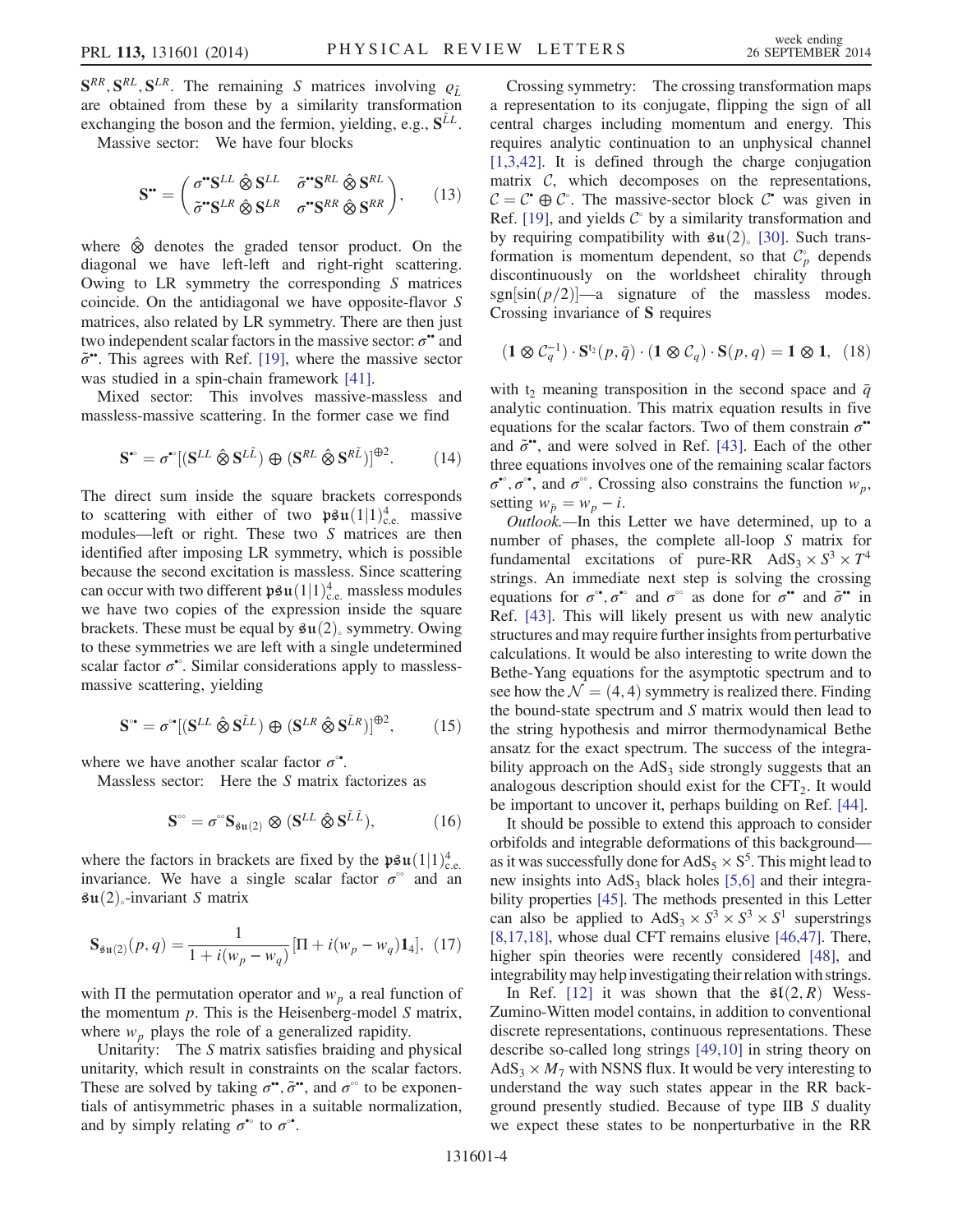$S^{RR}, S^{RL}, S^{LR}$ . The remaining S matrices involving  $\rho_L^{\mu}$ are obtained from these by a similarity transformation exchanging the boson and the fermion, yielding, e.g.,  $S^{LL}$ .

Massive sector: We have four blocks

$$
\mathbf{S}^{\bullet\bullet} = \begin{pmatrix} \sigma^{\bullet\bullet}\mathbf{S}^{LL} \hat{\otimes} \mathbf{S}^{LL} & \tilde{\sigma}^{\bullet\bullet}\mathbf{S}^{RL} \hat{\otimes} \mathbf{S}^{RL} \\ \tilde{\sigma}^{\bullet\bullet}\mathbf{S}^{LR} \hat{\otimes} \mathbf{S}^{LR} & \sigma^{\bullet\bullet}\mathbf{S}^{RR} \hat{\otimes} \mathbf{S}^{RR} \end{pmatrix}, \qquad (13)
$$

where ⊗ˆ denotes the graded tensor product. On the diagonal we have left-left and right-right scattering. Owing to LR symmetry the corresponding S matrices coincide. On the antidiagonal we have opposite-flavor S matrices, also related by LR symmetry. There are then just two independent scalar factors in the massive sector:  $\sigma$ <sup>\*</sup> and  $\tilde{\sigma}$ ••. This agrees with Ref. [\[19\]](#page-5-28), where the massive sector was studied in a spin-chain framework [\[41\].](#page-5-29)

Mixed sector: This involves massive-massless and massless-massive scattering. In the former case we find

$$
\mathbf{S}^{\bullet} = \sigma^{\bullet}[(\mathbf{S}^{LL} \hat{\otimes} \mathbf{S}^{L\tilde{L}}) \oplus (\mathbf{S}^{RL} \hat{\otimes} \mathbf{S}^{R\tilde{L}})]^{\oplus 2}.
$$
 (14)

The direct sum inside the square brackets corresponds to scattering with either of two  $\mathfrak{psu}(1|1)_{\text{ce}}^4$  massive<br>modules—left or right. These two S matrices are then modules—left or right. These two S matrices are then identified after imposing LR symmetry, which is possible because the second excitation is massless. Since scattering can occur with two different  $\mathfrak{psu}(1|1)_c^4$ , massless modules<br>we have two copies of the expression inside the square we have two copies of the expression inside the square brackets. These must be equal by  $\mathfrak{su}(2)$ , symmetry. Owing to these symmetries we are left with a single undetermined scalar factor  $\sigma^{\bullet\circ}$ . Similar considerations apply to masslessmassive scattering, yielding

$$
\mathbf{S}^{\circ \bullet} = \sigma^{\circ \bullet} [(\mathbf{S}^{LL} \ \hat{\otimes} \ \mathbf{S}^{\tilde{L}L}) \ \oplus \ (\mathbf{S}^{LR} \ \hat{\otimes} \ \mathbf{S}^{\tilde{L}R})]^{\oplus 2},\tag{15}
$$

where we have another scalar factor  $\sigma$ <sup>•</sup>.

Massless sector: Here the S matrix factorizes as

$$
\mathbf{S}^{\circ\circ} = \sigma^{\circ\circ} \mathbf{S}_{\mathbf{su}(2)} \otimes (\mathbf{S}^{LL} \hat{\otimes} \mathbf{S}^{\tilde{L}\tilde{L}}), \tag{16}
$$

where the factors in brackets are fixed by the  $\mathfrak{psu}(1|1)_{c.e.}^4$ <br>invariance. We have a single scalar factor  $\sigma^{\circ}$  and an invariance. We have a single scalar factor  $\sigma^{\circ}$  and an  $\mathfrak{su}(2)$ <sub>∘</sub>-invariant S matrix

$$
\mathbf{S}_{\mathfrak{su}(2)}(p,q) = \frac{1}{1 + i(w_p - w_q)} [\Pi + i(w_p - w_q) \mathbf{1}_4], \tag{17}
$$

with  $\Pi$  the permutation operator and  $w_p$  a real function of the momentum  $p$ . This is the Heisenberg-model  $S$  matrix, where  $w_p$  plays the role of a generalized rapidity.

Unitarity: The S matrix satisfies braiding and physical unitarity, which result in constraints on the scalar factors. These are solved by taking  $\sigma^{\bullet\bullet}$ ,  $\tilde{\sigma}^{\bullet\bullet}$ , and  $\sigma^{\circ\circ}$  to be exponentials of antisymmetric phases in a suitable normalization, and by simply relating  $\sigma^{\bullet}$  to  $\sigma^{\bullet}$ .

Crossing symmetry: The crossing transformation maps a representation to its conjugate, flipping the sign of all central charges including momentum and energy. This requires analytic continuation to an unphysical channel [\[1,3,42\].](#page-5-4) It is defined through the charge conjugation matrix  $C$ , which decomposes on the representations,  $C = C^* \oplus C^*$ . The massive-sector block C<sup>•</sup> was given in Ref. [19] and vields C<sup>°</sup> by a similarity transformation and Ref. [\[19\]](#page-5-28), and yields  $\mathcal{C}^{\circ}$  by a similarity transformation and by requiring compatibility with  $\mathfrak{su}(2)$  [\[30\].](#page-5-19) Such transformation is momentum dependent, so that  $\mathcal{C}_p^{\circ}$  depends discontinuously on the worldsheet chirality through sgn $[\sin(p/2)]$ —a signature of the massless modes. Crossing invariance of S requires

$$
(\mathbf{1} \otimes \mathcal{C}_q^{-1}) \cdot \mathbf{S}^{t_2}(p, \bar{q}) \cdot (\mathbf{1} \otimes \mathcal{C}_q) \cdot \mathbf{S}(p, q) = \mathbf{1} \otimes \mathbf{1}, \tag{18}
$$

with t<sub>2</sub> meaning transposition in the second space and  $\bar{q}$ analytic continuation. This matrix equation results in five equations for the scalar factors. Two of them constrain  $\sigma$ <sup>\*</sup> and  $\tilde{\sigma}$ ••, and were solved in Ref. [\[43\].](#page-5-30) Each of the other three equations involves one of the remaining scalar factors  $\sigma^{\bullet}$ ,  $\sigma^{\bullet\bullet}$ , and  $\sigma^{\circ\circ}$ . Crossing also constrains the function  $w_p$ , setting  $w_{\bar{p}} = w_p - i$ .

Outlook.—In this Letter we have determined, up to a number of phases, the complete all-loop S matrix for fundamental excitations of pure-RR  $AdS_3 \times S^3 \times T^4$ strings. An immediate next step is solving the crossing equations for  $\sigma^{\bullet\bullet}$ ,  $\sigma^{\bullet\circ}$  and  $\sigma^{\circ\circ}$  as done for  $\sigma^{\bullet\bullet}$  and  $\tilde{\sigma}^{\bullet\bullet}$  in Ref. [\[43\].](#page-5-30) This will likely present us with new analytic structures and may require further insights from perturbative calculations. It would be also interesting to write down the Bethe-Yang equations for the asymptotic spectrum and to see how the  $\mathcal{N} = (4, 4)$  symmetry is realized there. Finding the bound-state spectrum and S matrix would then lead to the string hypothesis and mirror thermodynamical Bethe ansatz for the exact spectrum. The success of the integrability approach on the  $AdS<sub>3</sub>$  side strongly suggests that an analogous description should exist for the  $CFT<sub>2</sub>$ . It would be important to uncover it, perhaps building on Ref. [\[44\]](#page-5-31).

It should be possible to extend this approach to consider orbifolds and integrable deformations of this background as it was successfully done for  $AdS_5 \times S^5$ . This might lead to new insights into  $AdS_3$  black holes [\[5,6\]](#page-5-6) and their integrability properties [\[45\].](#page-5-32) The methods presented in this Letter can also be applied to  $AdS_3 \times S^3 \times S^3 \times S^1$  superstrings [\[8,17,18\],](#page-5-33) whose dual CFT remains elusive [\[46,47\].](#page-5-34) There, higher spin theories were recently considered [\[48\],](#page-5-35) and integrability may help investigating their relation with strings.

In Ref. [\[12\]](#page-5-36) it was shown that the  $\mathfrak{sl}(2,R)$  Wess-Zumino-Witten model contains, in addition to conventional discrete representations, continuous representations. These describe so-called long strings [\[49,10\]](#page-5-37) in string theory on  $AdS_3 \times M_7$  with NSNS flux. It would be very interesting to understand the way such states appear in the RR background presently studied. Because of type IIB S duality we expect these states to be nonperturbative in the RR